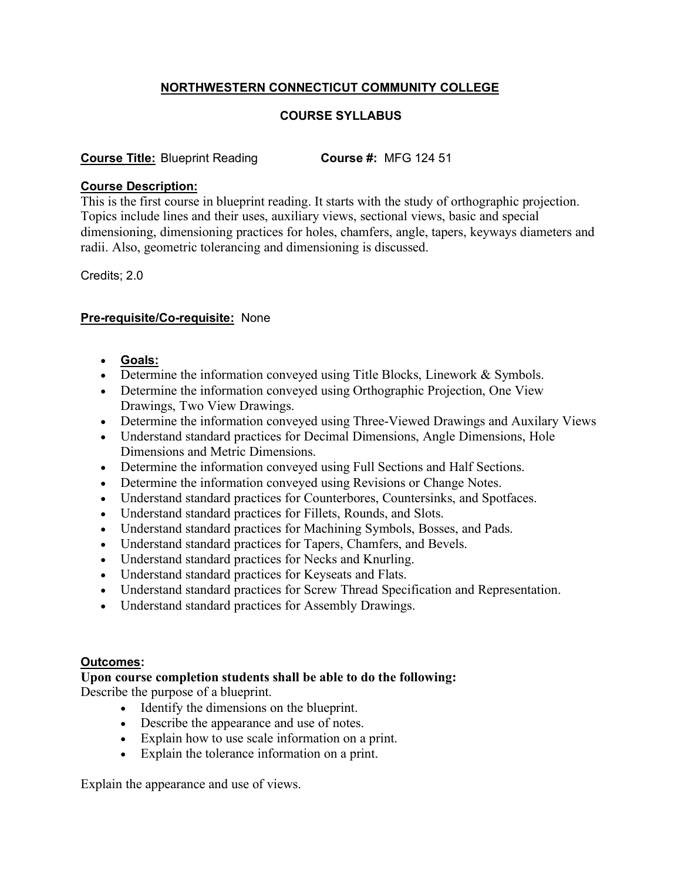# **NORTHWESTERN CONNECTICUT COMMUNITY COLLEGE**

# **COURSE SYLLABUS**

## **Course Title:** Blueprint Reading **Course #:** MFG 124 51

### **Course Description:**

This is the first course in blueprint reading. It starts with the study of orthographic projection. Topics include lines and their uses, auxiliary views, sectional views, basic and special dimensioning, dimensioning practices for holes, chamfers, angle, tapers, keyways diameters and radii. Also, geometric tolerancing and dimensioning is discussed.

Credits; 2.0

### **Pre-requisite/Co-requisite:** None

- **Goals:**
- Determine the information conveyed using Title Blocks, Linework & Symbols.
- Determine the information conveyed using Orthographic Projection, One View Drawings, Two View Drawings.
- Determine the information conveyed using Three-Viewed Drawings and Auxilary Views
- Understand standard practices for Decimal Dimensions, Angle Dimensions, Hole Dimensions and Metric Dimensions.
- Determine the information conveyed using Full Sections and Half Sections.
- Determine the information conveyed using Revisions or Change Notes.
- Understand standard practices for Counterbores, Countersinks, and Spotfaces.
- Understand standard practices for Fillets, Rounds, and Slots.
- Understand standard practices for Machining Symbols, Bosses, and Pads.
- Understand standard practices for Tapers, Chamfers, and Bevels.
- Understand standard practices for Necks and Knurling.
- Understand standard practices for Keyseats and Flats.
- Understand standard practices for Screw Thread Specification and Representation.
- Understand standard practices for Assembly Drawings.

### **Outcomes:**

#### **Upon course completion students shall be able to do the following:**

Describe the purpose of a blueprint.

- Identify the dimensions on the blueprint.
- Describe the appearance and use of notes.
- Explain how to use scale information on a print.
- Explain the tolerance information on a print.

Explain the appearance and use of views.